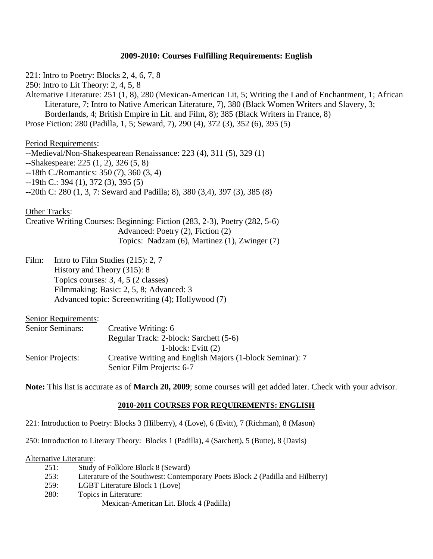# **2009-2010: Courses Fulfilling Requirements: English**

221: Intro to Poetry: Blocks 2, 4, 6, 7, 8 250: Intro to Lit Theory: 2, 4, 5, 8 Alternative Literature: 251 (1, 8), 280 (Mexican-American Lit, 5; Writing the Land of Enchantment, 1; African Literature, 7; Intro to Native American Literature, 7), 380 (Black Women Writers and Slavery, 3; Borderlands, 4; British Empire in Lit. and Film, 8); 385 (Black Writers in France, 8) Prose Fiction: 280 (Padilla, 1, 5; Seward, 7), 290 (4), 372 (3), 352 (6), 395 (5)

Period Requirements:

--Medieval/Non-Shakespearean Renaissance: 223 (4), 311 (5), 329 (1) --Shakespeare: 225 (1, 2), 326 (5, 8) --18th C./Romantics: 350 (7), 360 (3, 4) --19th C.: 394 (1), 372 (3), 395 (5) --20th C: 280 (1, 3, 7: Seward and Padilla; 8), 380 (3,4), 397 (3), 385 (8)

Other Tracks:

Creative Writing Courses: Beginning: Fiction (283, 2-3), Poetry (282, 5-6) Advanced: Poetry (2), Fiction (2) Topics: Nadzam (6), Martinez (1), Zwinger (7)

Film: Intro to Film Studies (215): 2, 7 History and Theory (315): 8 Topics courses: 3, 4, 5 (2 classes) Filmmaking: Basic: 2, 5, 8; Advanced: 3 Advanced topic: Screenwriting (4); Hollywood (7)

| <b>Senior Requirements:</b> |                                                          |
|-----------------------------|----------------------------------------------------------|
| <b>Senior Seminars:</b>     | Creative Writing: 6                                      |
|                             | Regular Track: 2-block: Sarchett (5-6)                   |
|                             | 1-block: Evitt $(2)$                                     |
| Senior Projects:            | Creative Writing and English Majors (1-block Seminar): 7 |
|                             | Senior Film Projects: 6-7                                |

**Note:** This list is accurate as of **March 20, 2009**; some courses will get added later. Check with your advisor.

#### **2010-2011 COURSES FOR REQUIREMENTS: ENGLISH**

221: Introduction to Poetry: Blocks 3 (Hilberry), 4 (Love), 6 (Evitt), 7 (Richman), 8 (Mason)

250: Introduction to Literary Theory: Blocks 1 (Padilla), 4 (Sarchett), 5 (Butte), 8 (Davis)

Alternative Literature:

- 251: Study of Folklore Block 8 (Seward)
- 253: Literature of the Southwest: Contemporary Poets Block 2 (Padilla and Hilberry)
- 259: LGBT Literature Block 1 (Love)
- 280: Topics in Literature:
	- Mexican-American Lit. Block 4 (Padilla)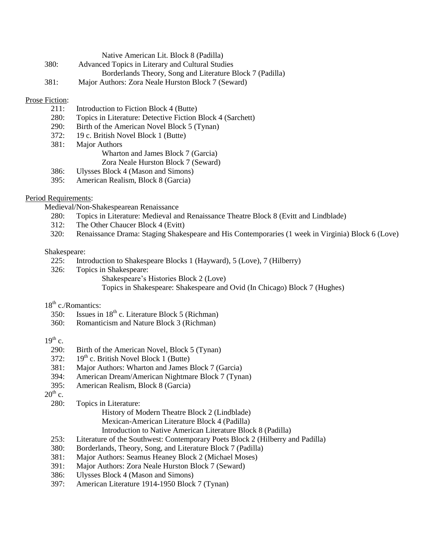|      | Native American Lit. Block 8 (Padilla)                    |
|------|-----------------------------------------------------------|
| 380: | Advanced Topics in Literary and Cultural Studies          |
|      | Borderlands Theory, Song and Literature Block 7 (Padilla) |
| 381: | Major Authors: Zora Neale Hurston Block 7 (Seward)        |

### Prose Fiction:

- 211: Introduction to Fiction Block 4 (Butte)
- 280: Topics in Literature: Detective Fiction Block 4 (Sarchett)
- 290: Birth of the American Novel Block 5 (Tynan)
- 372: 19 c. British Novel Block 1 (Butte)
- 381: Major Authors
	- Wharton and James Block 7 (Garcia)
	- Zora Neale Hurston Block 7 (Seward)
- 386: Ulysses Block 4 (Mason and Simons)
- 395: American Realism, Block 8 (Garcia)

### Period Requirements:

- Medieval/Non-Shakespearean Renaissance
	- 280: Topics in Literature: Medieval and Renaissance Theatre Block 8 (Evitt and Lindblade)
	- 312: The Other Chaucer Block 4 (Evitt)
	- 320: Renaissance Drama: Staging Shakespeare and His Contemporaries (1 week in Virginia) Block 6 (Love)

### Shakespeare:

- 225: Introduction to Shakespeare Blocks 1 (Hayward), 5 (Love), 7 (Hilberry)
- 326: Topics in Shakespeare:
	- Shakespeare's Histories Block 2 (Love) Topics in Shakespeare: Shakespeare and Ovid (In Chicago) Block 7 (Hughes)

## $18<sup>th</sup>$  c./Romantics:

- 350: Issues in  $18<sup>th</sup>$  c. Literature Block 5 (Richman)
- 360: Romanticism and Nature Block 3 (Richman)

## $19^{th}$  c.

- 290: Birth of the American Novel, Block 5 (Tynan)
- 372:  $19^{th}$  c. British Novel Block 1 (Butte)
- 381: Major Authors: Wharton and James Block 7 (Garcia)
- 394: American Dream/American Nightmare Block 7 (Tynan)
- 395: American Realism, Block 8 (Garcia)

 $20^{th}$  c.

280: Topics in Literature:

- History of Modern Theatre Block 2 (Lindblade)
- Mexican-American Literature Block 4 (Padilla)
- Introduction to Native American Literature Block 8 (Padilla)
- 253: Literature of the Southwest: Contemporary Poets Block 2 (Hilberry and Padilla)
- 380: Borderlands, Theory, Song, and Literature Block 7 (Padilla)
- 381: Major Authors: Seamus Heaney Block 2 (Michael Moses)
- 391: Major Authors: Zora Neale Hurston Block 7 (Seward)
- 386: Ulysses Block 4 (Mason and Simons)
- 397: American Literature 1914-1950 Block 7 (Tynan)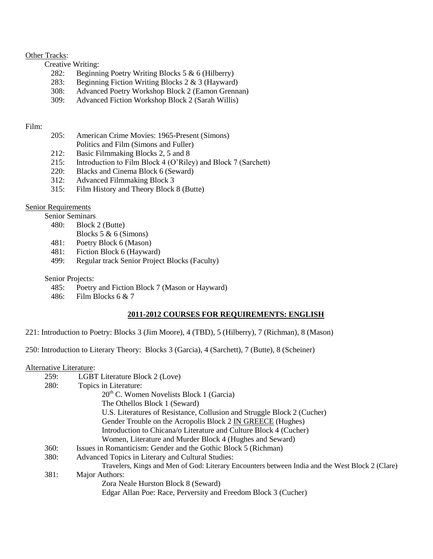### Other Tracks:

- Creative Writing:
	- 282: Beginning Poetry Writing Blocks 5 & 6 (Hilberry)
	- 283: Beginning Fiction Writing Blocks 2 & 3 (Hayward)
	- 308: Advanced Poetry Workshop Block 2 (Eamon Grennan)
	- 309: Advanced Fiction Workshop Block 2 (Sarah Willis)

## Film:

- 205: American Crime Movies: 1965-Present (Simons) Politics and Film (Simons and Fuller)
- 212: Basic Filmmaking Blocks 2, 5 and 8
- 215: Introduction to Film Block 4 (O'Riley) and Block 7 (Sarchett)
- 220: Blacks and Cinema Block 6 (Seward)
- 312: Advanced Filmmaking Block 3
- 315: Film History and Theory Block 8 (Butte)

# Senior Requirements

Senior Seminars

- 480: Block 2 (Butte)
	- Blocks 5 & 6 (Simons)
- 481: Poetry Block 6 (Mason)
- 481: Fiction Block 6 (Hayward)
- 499: Regular track Senior Project Blocks (Faculty)

Senior Projects:

- 485: Poetry and Fiction Block 7 (Mason or Hayward)
- 486: Film Blocks 6 & 7

# **2011-2012 COURSES FOR REQUIREMENTS: ENGLISH**

221: Introduction to Poetry: Blocks 3 (Jim Moore), 4 (TBD), 5 (Hilberry), 7 (Richman), 8 (Mason)

250: Introduction to Literary Theory: Blocks 3 (Garcia), 4 (Sarchett), 7 (Butte), 8 (Scheiner)

### Alternative Literature:

| 259: | <b>LGBT</b> Literature Block 2 (Love)                                                           |
|------|-------------------------------------------------------------------------------------------------|
| 280: | Topics in Literature:                                                                           |
|      | $20th$ C. Women Novelists Block 1 (Garcia)                                                      |
|      | The Othellos Block 1 (Seward)                                                                   |
|      | U.S. Literatures of Resistance, Collusion and Struggle Block 2 (Cucher)                         |
|      | Gender Trouble on the Acropolis Block 2 IN GREECE (Hughes)                                      |
|      | Introduction to Chicana/o Literature and Culture Block 4 (Cucher)                               |
|      | Women, Literature and Murder Block 4 (Hughes and Seward)                                        |
| 360: | Issues in Romanticism: Gender and the Gothic Block 5 (Richman)                                  |
| 380: | Advanced Topics in Literary and Cultural Studies:                                               |
|      | Travelers, Kings and Men of God: Literary Encounters between India and the West Block 2 (Clare) |
| 381: | Major Authors:                                                                                  |
|      | Zora Neale Hurston Block 8 (Seward)                                                             |
|      | Edgar Allan Poe: Race, Perversity and Freedom Block 3 (Cucher)                                  |
|      |                                                                                                 |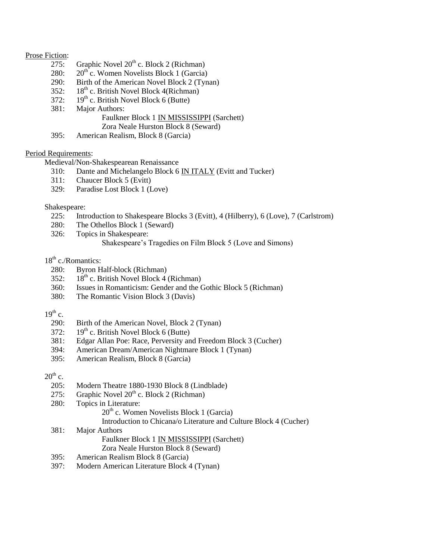### Prose Fiction:

- $\overline{275}$ : Graphic Novel  $20^{th}$  c. Block 2 (Richman)
- 280:  $20^{th}$  c. Women Novelists Block 1 (Garcia)
- 290: Birth of the American Novel Block 2 (Tynan)
- 352:  $18^{th}$  c. British Novel Block 4(Richman)
- 372:  $19<sup>th</sup>$  c. British Novel Block 6 (Butte)
- 381: Major Authors:

# Faulkner Block 1 IN MISSISSIPPI (Sarchett)

Zora Neale Hurston Block 8 (Seward)

395: American Realism, Block 8 (Garcia)

### Period Requirements:

Medieval/Non-Shakespearean Renaissance

- 310: Dante and Michelangelo Block 6 IN ITALY (Evitt and Tucker)
- 311: Chaucer Block 5 (Evitt)
- 329: Paradise Lost Block 1 (Love)

### Shakespeare:

- 225: Introduction to Shakespeare Blocks 3 (Evitt), 4 (Hilberry), 6 (Love), 7 (Carlstrom)
- 280: The Othellos Block 1 (Seward)
- 326: Topics in Shakespeare:
	- Shakespeare's Tragedies on Film Block 5 (Love and Simons)

## 18<sup>th</sup> c./Romantics:

- 280: Byron Half-block (Richman)
- 352:  $18<sup>th</sup>$  c. British Novel Block 4 (Richman)
- 360: Issues in Romanticism: Gender and the Gothic Block 5 (Richman)
- 380: The Romantic Vision Block 3 (Davis)

### $19^{th}$  c.

- 290: Birth of the American Novel, Block 2 (Tynan)
- 372:  $19^{th}$  c. British Novel Block 6 (Butte)
- 381: Edgar Allan Poe: Race, Perversity and Freedom Block 3 (Cucher)
- 394: American Dream/American Nightmare Block 1 (Tynan)
- 395: American Realism, Block 8 (Garcia)

## $20^{th}$  c.

- 205: Modern Theatre 1880-1930 Block 8 (Lindblade)
- 275: Graphic Novel  $20^{th}$  c. Block 2 (Richman)
- 280: Topics in Literature:

 $20<sup>th</sup>$  c. Women Novelists Block 1 (Garcia)

Introduction to Chicana/o Literature and Culture Block 4 (Cucher)

- 381: Major Authors Faulkner Block 1 IN MISSISSIPPI (Sarchett) Zora Neale Hurston Block 8 (Seward)
- 395: American Realism Block 8 (Garcia)
- 397: Modern American Literature Block 4 (Tynan)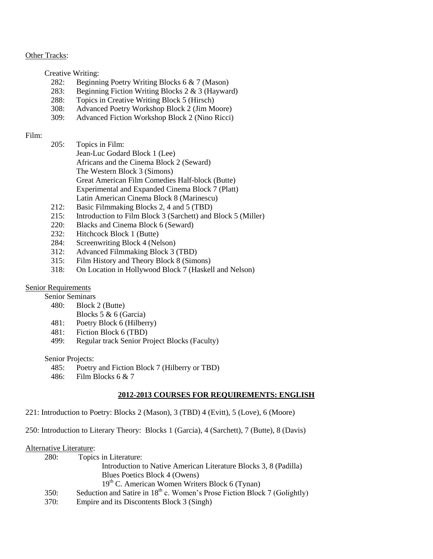### **Other Tracks:**

Creative Writing:

- 282: Beginning Poetry Writing Blocks 6 & 7 (Mason)
- 283: Beginning Fiction Writing Blocks 2 & 3 (Hayward)
- 288: Topics in Creative Writing Block 5 (Hirsch)
- 308: Advanced Poetry Workshop Block 2 (Jim Moore)
- 309: Advanced Fiction Workshop Block 2 (Nino Ricci)

### Film:

- 205: Topics in Film: Jean-Luc Godard Block 1 (Lee) Africans and the Cinema Block 2 (Seward) The Western Block 3 (Simons) Great American Film Comedies Half-block (Butte) Experimental and Expanded Cinema Block 7 (Platt) Latin American Cinema Block 8 (Marinescu)
- 212: Basic Filmmaking Blocks 2, 4 and 5 (TBD)
- 215: Introduction to Film Block 3 (Sarchett) and Block 5 (Miller)
- 220: Blacks and Cinema Block 6 (Seward)
- 232: Hitchcock Block 1 (Butte)
- 284: Screenwriting Block 4 (Nelson)
- 312: Advanced Filmmaking Block 3 (TBD)
- 315: Film History and Theory Block 8 (Simons)
- 318: On Location in Hollywood Block 7 (Haskell and Nelson)

### Senior Requirements

Senior Seminars

- 480: Block 2 (Butte)
	- Blocks 5 & 6 (Garcia)
- 481: Poetry Block 6 (Hilberry)
- 481: Fiction Block 6 (TBD)
- 499: Regular track Senior Project Blocks (Faculty)

Senior Projects:

- 485: Poetry and Fiction Block 7 (Hilberry or TBD)
- 486: Film Blocks 6 & 7

### **2012-2013 COURSES FOR REQUIREMENTS: ENGLISH**

221: Introduction to Poetry: Blocks 2 (Mason), 3 (TBD) 4 (Evitt), 5 (Love), 6 (Moore)

250: Introduction to Literary Theory: Blocks 1 (Garcia), 4 (Sarchett), 7 (Butte), 8 (Davis)

#### Alternative Literature:

| <b>280:</b> | Topics in Literature:                                                       |
|-------------|-----------------------------------------------------------------------------|
|             | Introduction to Native American Literature Blocks 3, 8 (Padilla)            |
|             | Blues Poetics Block 4 (Owens)                                               |
|             | 19 <sup>th</sup> C. American Women Writers Block 6 (Tynan)                  |
| 350:        | Seduction and Satire in $18th$ c. Women's Prose Fiction Block 7 (Golightly) |
| <b>370:</b> | Empire and its Discontents Block 3 (Singh)                                  |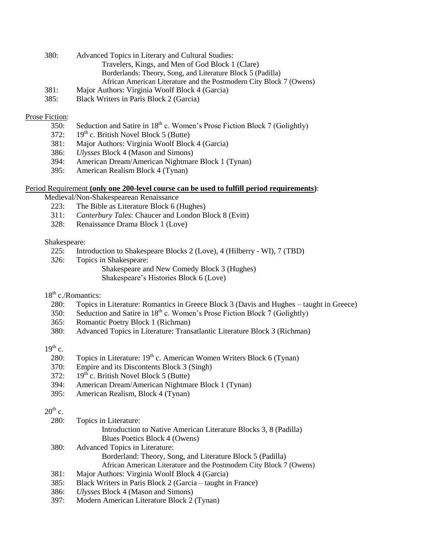- 380: Advanced Topics in Literary and Cultural Studies: Travelers, Kings, and Men of God Block 1 (Clare) Borderlands: Theory, Song, and Literature Block 5 (Padilla) African American Literature and the Postmodern City Block 7 (Owens)
- 381: Major Authors: Virginia Woolf Block 4 (Garcia)
- 385: Black Writers in Paris Block 2 (Garcia)

### Prose Fiction:

- 350: Seduction and Satire in  $18<sup>th</sup>$  c. Women's Prose Fiction Block 7 (Golightly)
- 372:  $19^{th}$  c. British Novel Block 5 (Butte)
- 381: Major Authors: Virginia Woolf Block 4 (Garcia)
- 386: *Ulysses* Block 4 (Mason and Simons)
- 394: American Dream/American Nightmare Block 1 (Tynan)
- 395: American Realism Block 4 (Tynan)

### Period Requirement **(only one 200-level course can be used to fulfill period requirements)**:

Medieval/Non-Shakespearean Renaissance

- 223: The Bible as Literature Block 6 (Hughes)
- 311: *Canterbury Tales*: Chaucer and London Block 8 (Evitt)
- 328: Renaissance Drama Block 1 (Love)

#### Shakespeare:

- 225: Introduction to Shakespeare Blocks 2 (Love), 4 (Hilberry WI), 7 (TBD)
- 326: Topics in Shakespeare: Shakespeare and New Comedy Block 3 (Hughes) Shakespeare's Histories Block 6 (Love)

# 18<sup>th</sup> c./Romantics:

- 280: Topics in Literature: Romantics in Greece Block 3 (Davis and Hughes taught in Greece)
- 350: Seduction and Satire in  $18<sup>th</sup>$  c. Women's Prose Fiction Block 7 (Golightly)
- 365: Romantic Poetry Block 1 (Richman)
- 380: Advanced Topics in Literature: Transatlantic Literature Block 3 (Richman)

## $19^{th}$  c.

- 280: Topics in Literature:  $19<sup>th</sup>$  c. American Women Writers Block 6 (Tynan)
- 370: Empire and its Discontents Block 3 (Singh)
- 372:  $19^{th}$  c. British Novel Block 5 (Butte)
- 394: American Dream/American Nightmare Block 1 (Tynan)
- 395: American Realism, Block 4 (Tynan)

## $20^{th}$  c.

| 280:          | Topics in Literature:                                                                                          |
|---------------|----------------------------------------------------------------------------------------------------------------|
|               | Introduction to Native American Literature Blocks 3, 8 (Padilla)                                               |
|               | Blues Poetics Block 4 (Owens)                                                                                  |
| 380:          | Advanced Topics in Literature:                                                                                 |
|               | Borderland: Theory, Song, and Literature Block 5 (Padilla)                                                     |
|               | African American Literature and the Postmodern City Block 7 (Owens)                                            |
| 381:          | Major Authors: Virginia Woolf Block 4 (Garcia)                                                                 |
| 385:          | Black Writers in Paris Block 2 (Garcia – taught in France)                                                     |
| $\sim$ $\sim$ | 777 – 1944 – 1956 – 1956 – 1956 – 1956 – 1956 – 1956 – 1956 – 1956 – 1956 – 1956 – 1956 – 1956 – 1956 – 1956 – |

- 386: *Ulysses* Block 4 (Mason and Simons)
- 397: Modern American Literature Block 2 (Tynan)